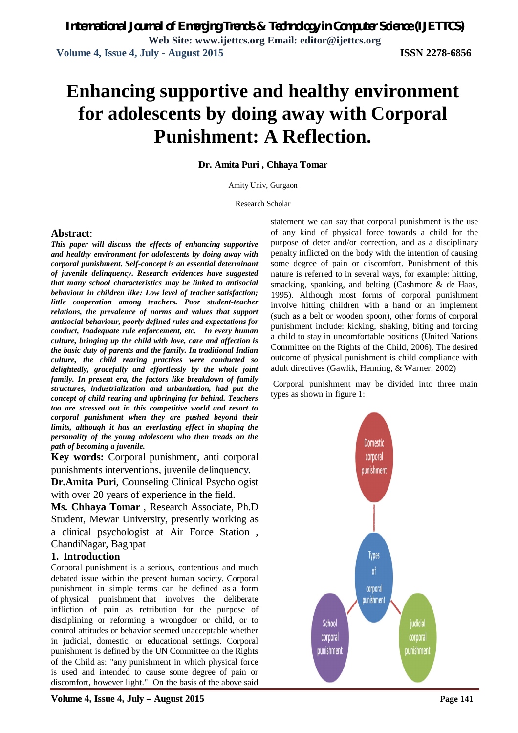# **Enhancing supportive and healthy environment for adolescents by doing away with Corporal Punishment: A Reflection.**

**Dr. Amita Puri , Chhaya Tomar**

Amity Univ, Gurgaon

Research Scholar

### **Abstract**:

*This paper will discuss the effects of enhancing supportive and healthy environment for adolescents by doing away with corporal punishment. Self-concept is an essential determinant of juvenile delinquency. Research evidences have suggested that many school characteristics may be linked to antisocial behaviour in children like: Low level of teacher satisfaction; little cooperation among teachers. Poor student-teacher relations, the prevalence of norms and values that support antisocial behaviour, poorly defined rules and expectations for conduct, Inadequate rule enforcement, etc. In every human culture, bringing up the child with love, care and affection is the basic duty of parents and the family. In traditional Indian culture, the child rearing practises were conducted so delightedly, gracefully and effortlessly by the whole joint family. In present era, the factors like breakdown of family structures, industrialization and urbanization, had put the concept of child rearing and upbringing far behind. Teachers too are stressed out in this competitive world and resort to corporal punishment when they are pushed beyond their limits, although it has an everlasting effect in shaping the personality of the young adolescent who then treads on the path of becoming a juvenile.*

**Key words:** Corporal punishment, anti corporal punishments interventions, juvenile delinquency.

**Dr.Amita Puri**, Counseling Clinical Psychologist with over 20 years of experience in the field.

**Ms. Chhaya Tomar** , Research Associate, Ph.D Student, Mewar University, presently working as a clinical psychologist at Air Force Station , ChandiNagar, Baghpat

## **1. Introduction**

Corporal punishment is a serious, contentious and much debated issue within the present human society. Corporal punishment in simple terms can be defined as a form of physical punishment that involves the deliberate infliction of pain as retribution for the purpose of disciplining or reforming a wrongdoer or child, or to control attitudes or behavior seemed unacceptable whether in judicial, domestic, or educational settings. Corporal punishment is defined by the UN Committee on the Rights of the Child as: "any punishment in which physical force is used and intended to cause some degree of pain or discomfort, however light." On the basis of the above said

**Volume 4, Issue 4, July – August 2015 Page 141**

statement we can say that corporal punishment is the use of any kind of physical force towards a child for the purpose of deter and/or correction, and as a disciplinary penalty inflicted on the body with the intention of causing some degree of pain or discomfort. Punishment of this nature is referred to in several ways, for example: hitting, smacking, spanking, and belting (Cashmore & de Haas, 1995). Although most forms of corporal punishment involve hitting children with a hand or an implement (such as a belt or wooden spoon), other forms of corporal punishment include: kicking, shaking, biting and forcing a child to stay in uncomfortable positions (United Nations Committee on the Rights of the Child, 2006). The desired outcome of physical punishment is child compliance with adult directives (Gawlik, Henning, & Warner, 2002)

Corporal punishment may be divided into three main types as shown in figure 1:

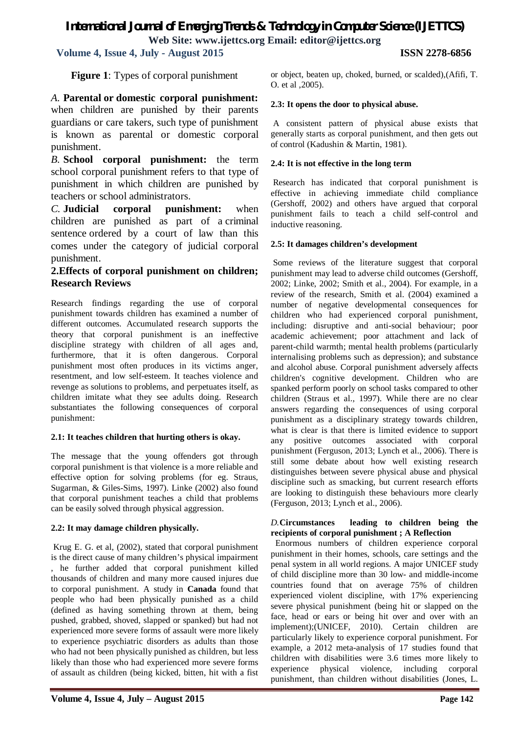## *International Journal of Emerging Trends & Technology in Computer Science (IJETTCS)* **Web Site: www.ijettcs.org Email: editor@ijettcs.org**

 **Volume 4, Issue 4, July - August 2015 ISSN 2278-6856**

**Figure 1**: Types of corporal punishment

*A.* **Parental or domestic corporal punishment:** when children are punished by their parents guardians or care takers, such type of punishment is known as parental or domestic corporal punishment.

*B.* **School corporal punishment:** the term school corporal punishment refers to that type of punishment in which children are punished by teachers or school administrators.

*C.* **Judicial corporal punishment:** when children are punished as part of a criminal sentence ordered by a court of law than this comes under the category of judicial corporal punishment.

## **2.Effects of corporal punishment on children; Research Reviews**

Research findings regarding the use of corporal punishment towards children has examined a number of different outcomes. Accumulated research supports the theory that corporal punishment is an ineffective discipline strategy with children of all ages and, furthermore, that it is often dangerous. Corporal punishment most often produces in its victims anger, resentment, and low self-esteem. It teaches violence and revenge as solutions to problems, and perpetuates itself, as children imitate what they see adults doing. Research substantiates the following consequences of corporal punishment:

## **2.1: It teaches children that hurting others is okay.**

The message that the young offenders got through corporal punishment is that violence is a more reliable and effective option for solving problems (for eg. Straus, Sugarman, & Giles-Sims, 1997). Linke (2002) also found that corporal punishment teaches a child that problems can be easily solved through physical aggression.

## **2.2: It may damage children physically.**

Krug E. G. et al, (2002), stated that corporal punishment is the direct cause of many children's physical impairment , he further added that corporal punishment killed thousands of children and many more caused injures due to corporal punishment. A study in **Canada** found that people who had been physically punished as a child (defined as having something thrown at them, being pushed, grabbed, shoved, slapped or spanked) but had not experienced more severe forms of assault were more likely to experience psychiatric disorders as adults than those who had not been physically punished as children, but less likely than those who had experienced more severe forms of assault as children (being kicked, bitten, hit with a fist

or object, beaten up, choked, burned, or scalded),(Afifi, T. O. et al ,2005).

## **2.3: It opens the door to physical abuse.**

A consistent pattern of physical abuse exists that generally starts as corporal punishment, and then gets out of control (Kadushin & Martin, 1981).

## **2.4: It is not effective in the long term**

Research has indicated that corporal punishment is effective in achieving immediate child compliance (Gershoff, 2002) and others have argued that corporal punishment fails to teach a child self-control and inductive reasoning.

## **2.5: It damages children's development**

Some reviews of the literature suggest that corporal punishment may lead to adverse child outcomes (Gershoff, 2002; Linke, 2002; Smith et al., 2004). For example, in a review of the research, Smith et al. (2004) examined a number of negative developmental consequences for children who had experienced corporal punishment, including: disruptive and anti-social behaviour; poor academic achievement; poor attachment and lack of parent-child warmth; mental health problems (particularly internalising problems such as depression); and substance and alcohol abuse. Corporal punishment adversely affects children's cognitive development. Children who are spanked perform poorly on school tasks compared to other children (Straus et al., 1997). While there are no clear answers regarding the consequences of using corporal punishment as a disciplinary strategy towards children, what is clear is that there is limited evidence to support any positive outcomes associated with corporal punishment (Ferguson, 2013; Lynch et al., 2006). There is still some debate about how well existing research distinguishes between severe physical abuse and physical discipline such as smacking, but current research efforts are looking to distinguish these behaviours more clearly (Ferguson, 2013; Lynch et al., 2006).

### *D.***Circumstances leading to children being the recipients of corporal punishment ; A Reflection**

Enormous numbers of children experience corporal punishment in their homes, schools, care settings and the penal system in all world regions. A major UNICEF study of child discipline more than 30 low- and middle-income countries found that on average 75% of children experienced violent discipline, with 17% experiencing severe physical punishment (being hit or slapped on the face, head or ears or being hit over and over with an implement);(UNICEF, 2010). Certain children are particularly likely to experience corporal punishment. For example, a 2012 meta-analysis of 17 studies found that children with disabilities were 3.6 times more likely to experience physical violence, including corporal punishment, than children without disabilities (Jones, L.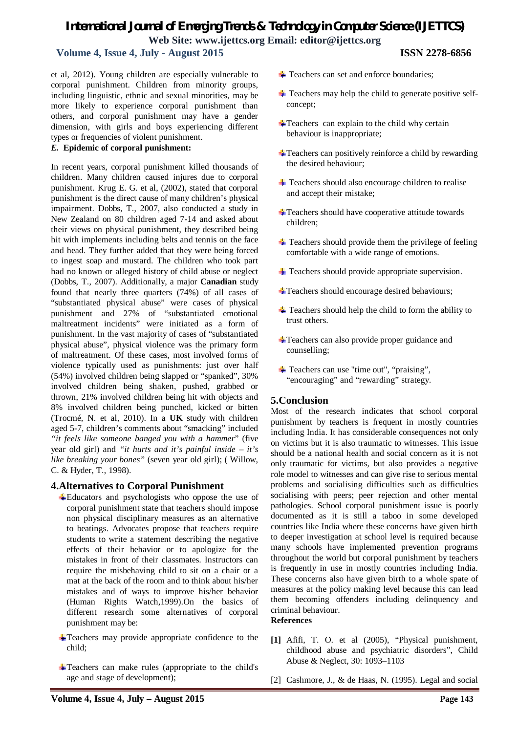## *International Journal of Emerging Trends & Technology in Computer Science (IJETTCS)* **Web Site: www.ijettcs.org Email: editor@ijettcs.org**

## **Volume 4, Issue 4, July - August 2015 ISSN 2278-6856**

et al, 2012). Young children are especially vulnerable to corporal punishment. Children from minority groups, including linguistic, ethnic and sexual minorities, may be more likely to experience corporal punishment than others, and corporal punishment may have a gender dimension, with girls and boys experiencing different types or frequencies of violent punishment.

### *E.* **Epidemic of corporal punishment:**

In recent years, corporal punishment killed thousands of children. Many children caused injures due to corporal punishment. Krug E. G. et al, (2002), stated that corporal punishment is the direct cause of many children's physical impairment. Dobbs, T., 2007, also conducted a study in New Zealand on 80 children aged 7-14 and asked about their views on physical punishment, they described being hit with implements including belts and tennis on the face and head. They further added that they were being forced to ingest soap and mustard. The children who took part had no known or alleged history of child abuse or neglect (Dobbs, T., 2007). Additionally, a major **Canadian** study found that nearly three quarters (74%) of all cases of "substantiated physical abuse" were cases of physical punishment and 27% of "substantiated emotional maltreatment incidents" were initiated as a form of punishment. In the vast majority of cases of "substantiated physical abuse", physical violence was the primary form of maltreatment. Of these cases, most involved forms of violence typically used as punishments: just over half (54%) involved children being slapped or "spanked", 30% involved children being shaken, pushed, grabbed or thrown, 21% involved children being hit with objects and 8% involved children being punched, kicked or bitten (Trocmé, N. et al, 2010). In a **UK** study with children aged 5-7, children's comments about "smacking" included *"it feels like someone banged you with a hammer*" (five year old girl) and *"it hurts and it's painful inside – it's like breaking your bones"* (seven year old girl); ( Willow, C. & Hyder, T., 1998).

## **4.Alternatives to Corporal Punishment**

- Educators and psychologists who oppose the use of corporal punishment state that teachers should impose non physical disciplinary measures as an alternative to beatings. Advocates propose that teachers require students to write a statement describing the negative effects of their behavior or to apologize for the mistakes in front of their classmates. Instructors can require the misbehaving child to sit on a chair or a mat at the back of the room and to think about his/her mistakes and of ways to improve his/her behavior (Human Rights Watch,1999).On the basics of different research some alternatives of corporal punishment may be:
- Teachers may provide appropriate confidence to the child;
- Teachers can make rules (appropriate to the child's age and stage of development);
- $\overline{\phantom{a}}$  Teachers can set and enforce boundaries;
- $\overline{\phantom{a}}$  Teachers may help the child to generate positive selfconcept;
- $\pm$ Teachers can explain to the child why certain behaviour is inappropriate;
- $\triangleq$ Teachers can positively reinforce a child by rewarding the desired behaviour;
- $\frac{1}{\sqrt{1}}$  Teachers should also encourage children to realise and accept their mistake;
- **T**eachers should have cooperative attitude towards children;
- $\pm$  Teachers should provide them the privilege of feeling comfortable with a wide range of emotions.
- $\overline{\phantom{a}}$  Teachers should provide appropriate supervision.
- Teachers should encourage desired behaviours;
- $\pm$  Teachers should help the child to form the ability to trust others.
- Teachers can also provide proper guidance and counselling;
- $\triangle$  Teachers can use "time out", "praising", "encouraging" and "rewarding" strategy.

### **5.Conclusion**

Most of the research indicates that school corporal punishment by teachers is frequent in mostly countries including India. It has considerable consequences not only on victims but it is also traumatic to witnesses. This issue should be a national health and social concern as it is not only traumatic for victims, but also provides a negative role model to witnesses and can give rise to serious mental problems and socialising difficulties such as difficulties socialising with peers; peer rejection and other mental pathologies. School corporal punishment issue is poorly documented as it is still a taboo in some developed countries like India where these concerns have given birth to deeper investigation at school level is required because many schools have implemented prevention programs throughout the world but corporal punishment by teachers is frequently in use in mostly countries including India. These concerns also have given birth to a whole spate of measures at the policy making level because this can lead them becoming offenders including delinquency and criminal behaviour.

#### **References**

- **[1]** Afifi, T. O. et al (2005), "Physical punishment, childhood abuse and psychiatric disorders", Child Abuse & Neglect, 30: 1093–1103
- [2] Cashmore, J., & de Haas, N. (1995). Legal and social